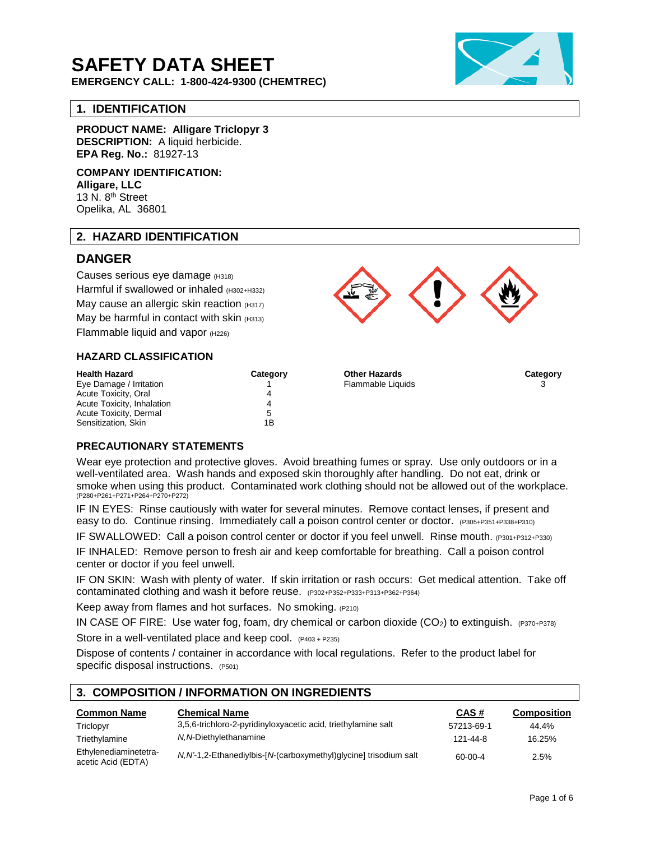# **SAFETY DATA SHEET**

**EMERGENCY CALL: 1-800-424-9300 (CHEMTREC)**

# **1. IDENTIFICATION**

**PRODUCT NAME: Alligare Triclopyr 3 DESCRIPTION:** A liquid herbicide. **EPA Reg. No.:** 81927-13

**COMPANY IDENTIFICATION: Alligare, LLC** 13 N. 8<sup>th</sup> Street Opelika, AL 36801

# **2. HAZARD IDENTIFICATION**

# **DANGER**

Causes serious eye damage (H318) Harmful if swallowed or inhaled (H302+H332) May cause an allergic skin reaction (H317) May be harmful in contact with skin  $(H313)$ Flammable liquid and vapor (H226)

## **HAZARD CLASSIFICATION**

| <b>Health Hazard</b>       | Category       |
|----------------------------|----------------|
| Eye Damage / Irritation    |                |
| Acute Toxicity, Oral       |                |
| Acute Toxicity, Inhalation |                |
| Acute Toxicity, Dermal     | 5              |
| Sensitization, Skin        | 1 <sub>B</sub> |



**Category Category Category Category Category** Flammable Liquids

# **PRECAUTIONARY STATEMENTS**

Wear eye protection and protective gloves. Avoid breathing fumes or spray. Use only outdoors or in a well-ventilated area. Wash hands and exposed skin thoroughly after handling. Do not eat, drink or smoke when using this product. Contaminated work clothing should not be allowed out of the workplace.<br>(P280+P261+P271+P264+P270+P272)

IF IN EYES: Rinse cautiously with water for several minutes. Remove contact lenses, if present and easy to do. Continue rinsing. Immediately call a poison control center or doctor. (P305+P351+P338+P310)

IF SWALLOWED: Call a poison control center or doctor if you feel unwell. Rinse mouth. (P301+P312+P330)

IF INHALED: Remove person to fresh air and keep comfortable for breathing. Call a poison control center or doctor if you feel unwell.

IF ON SKIN: Wash with plenty of water. If skin irritation or rash occurs: Get medical attention. Take off contaminated clothing and wash it before reuse. (P302+P352+P333+P313+P362+P364)

Keep away from flames and hot surfaces. No smoking. (P210)

IN CASE OF FIRE: Use water fog, foam, dry chemical or carbon dioxide  $(CO_2)$  to extinguish. (P370+P378) Store in a well-ventilated place and keep cool. (P403 + P235)

Dispose of contents / container in accordance with local regulations. Refer to the product label for specific disposal instructions. (P501)

| 3. COMPOSITION / INFORMATION ON INGREDIENTS |                                                                     |            |                    |  |
|---------------------------------------------|---------------------------------------------------------------------|------------|--------------------|--|
| <b>Common Name</b>                          | <b>Chemical Name</b>                                                | CAS#       | <b>Composition</b> |  |
| Triclopyr                                   | 3,5,6-trichloro-2-pyridinyloxyacetic acid, triethylamine salt       | 57213-69-1 | 44.4%              |  |
| Triethylamine                               | N, N-Diethylethanamine                                              | 121-44-8   | 16.25%             |  |
| Ethylenediaminetetra-<br>acetic Acid (EDTA) | N, N'-1, 2-Ethanediylbis-[N-(carboxymethyl) glycine] trisodium salt | 60-00-4    | 2.5%               |  |

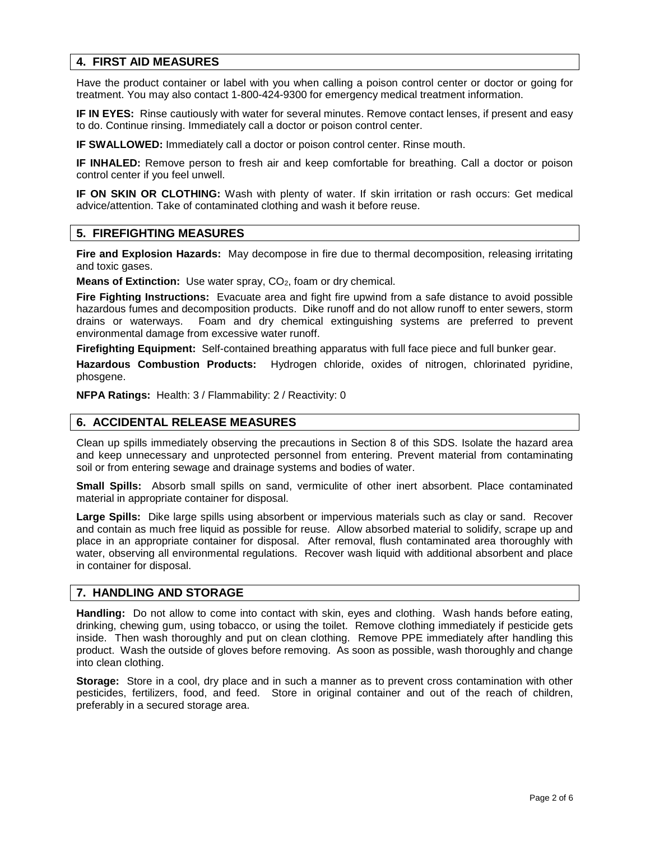# **4. FIRST AID MEASURES**

Have the product container or label with you when calling a poison control center or doctor or going for treatment. You may also contact 1-800-424-9300 for emergency medical treatment information.

**IF IN EYES:** Rinse cautiously with water for several minutes. Remove contact lenses, if present and easy to do. Continue rinsing. Immediately call a doctor or poison control center.

**IF SWALLOWED:** Immediately call a doctor or poison control center. Rinse mouth.

**IF INHALED:** Remove person to fresh air and keep comfortable for breathing. Call a doctor or poison control center if you feel unwell.

**IF ON SKIN OR CLOTHING:** Wash with plenty of water. If skin irritation or rash occurs: Get medical advice/attention. Take of contaminated clothing and wash it before reuse.

## **5. FIREFIGHTING MEASURES**

**Fire and Explosion Hazards:** May decompose in fire due to thermal decomposition, releasing irritating and toxic gases.

**Means of Extinction:** Use water spray, CO<sub>2</sub>, foam or dry chemical.

**Fire Fighting Instructions:** Evacuate area and fight fire upwind from a safe distance to avoid possible hazardous fumes and decomposition products. Dike runoff and do not allow runoff to enter sewers, storm drains or waterways. Foam and dry chemical extinguishing systems are preferred to prevent environmental damage from excessive water runoff.

**Firefighting Equipment:** Self-contained breathing apparatus with full face piece and full bunker gear.

**Hazardous Combustion Products:** Hydrogen chloride, oxides of nitrogen, chlorinated pyridine, phosgene.

**NFPA Ratings:** Health: 3 / Flammability: 2 / Reactivity: 0

# **6. ACCIDENTAL RELEASE MEASURES**

Clean up spills immediately observing the precautions in Section 8 of this SDS. Isolate the hazard area and keep unnecessary and unprotected personnel from entering. Prevent material from contaminating soil or from entering sewage and drainage systems and bodies of water.

**Small Spills:** Absorb small spills on sand, vermiculite of other inert absorbent. Place contaminated material in appropriate container for disposal.

**Large Spills:** Dike large spills using absorbent or impervious materials such as clay or sand. Recover and contain as much free liquid as possible for reuse. Allow absorbed material to solidify, scrape up and place in an appropriate container for disposal. After removal, flush contaminated area thoroughly with water, observing all environmental regulations. Recover wash liquid with additional absorbent and place in container for disposal.

# **7. HANDLING AND STORAGE**

**Handling:** Do not allow to come into contact with skin, eyes and clothing. Wash hands before eating, drinking, chewing gum, using tobacco, or using the toilet. Remove clothing immediately if pesticide gets inside. Then wash thoroughly and put on clean clothing. Remove PPE immediately after handling this product. Wash the outside of gloves before removing. As soon as possible, wash thoroughly and change into clean clothing.

**Storage:** Store in a cool, dry place and in such a manner as to prevent cross contamination with other pesticides, fertilizers, food, and feed. Store in original container and out of the reach of children, preferably in a secured storage area.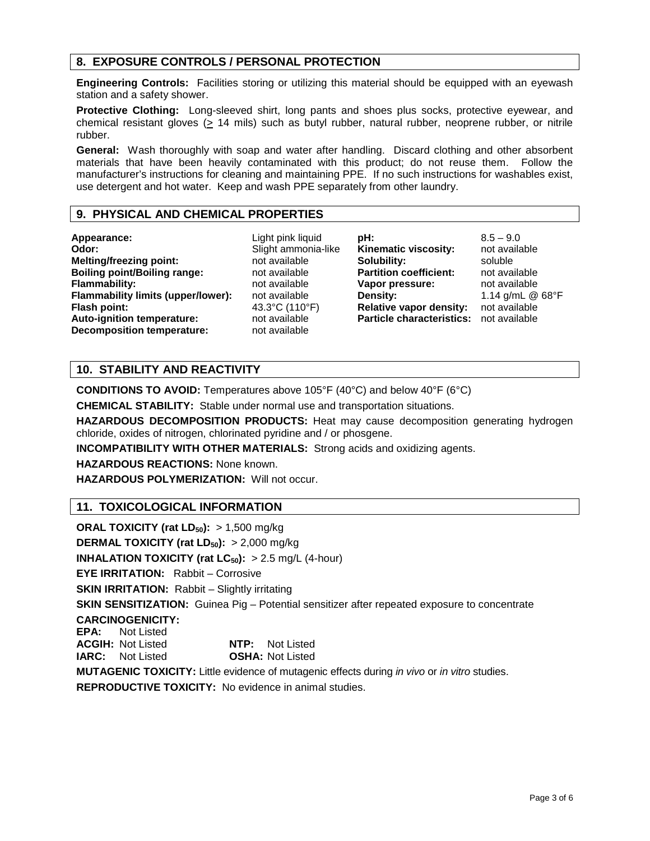# **8. EXPOSURE CONTROLS / PERSONAL PROTECTION**

**Engineering Controls:** Facilities storing or utilizing this material should be equipped with an eyewash station and a safety shower.

**Protective Clothing:** Long-sleeved shirt, long pants and shoes plus socks, protective eyewear, and chemical resistant gloves (> 14 mils) such as butyl rubber, natural rubber, neoprene rubber, or nitrile rubber.

**General:** Wash thoroughly with soap and water after handling. Discard clothing and other absorbent materials that have been heavily contaminated with this product; do not reuse them. Follow the manufacturer's instructions for cleaning and maintaining PPE. If no such instructions for washables exist, use detergent and hot water. Keep and wash PPE separately from other laundry.

# **9. PHYSICAL AND CHEMICAL PROPERTIES**

**Appearance:** Light pink liquid **Odor:** Slight ammonia-like **Melting/freezing point:** not available **Boiling point/Boiling range: Flammability:** not available **Flammability limits (upper/lower):** not available **Flash point:** 43.3°C (110°F) **Auto-ignition temperature:** not available **Decomposition temperature:** not available

**pH:** 8.5 – 9.0 **Kinematic viscosity:** not available **Solubility:** soluble<br>**Partition coefficient:** not available **Partition coefficient: Vapor pressure:** not available **Density:** 1.14 g/mL @ 68°F **Relative vapor density:** not available **Particle characteristics:** not available

# **10. STABILITY AND REACTIVITY**

**CONDITIONS TO AVOID:** Temperatures above 105°F (40°C) and below 40°F (6°C)

**CHEMICAL STABILITY:** Stable under normal use and transportation situations.

**HAZARDOUS DECOMPOSITION PRODUCTS:** Heat may cause decomposition generating hydrogen chloride, oxides of nitrogen, chlorinated pyridine and / or phosgene.

**INCOMPATIBILITY WITH OTHER MATERIALS:** Strong acids and oxidizing agents.

**HAZARDOUS REACTIONS:** None known.

**HAZARDOUS POLYMERIZATION:** Will not occur.

# **11. TOXICOLOGICAL INFORMATION**

**ORAL TOXICITY (rat LD<sub>50</sub>):** > 1,500 mg/kg **DERMAL TOXICITY (rat LD<sub>50</sub>):** > 2,000 mg/kg **INHALATION TOXICITY (rat**  $LC_{50}$ **):**  $> 2.5$  mg/L (4-hour) **EYE IRRITATION:** Rabbit – Corrosive **SKIN IRRITATION:** Rabbit – Slightly irritating **SKIN SENSITIZATION:** Guinea Pig – Potential sensitizer after repeated exposure to concentrate **CARCINOGENICITY:**<br>**EPA:** Not Listed **EPA:** Not Listed **ACGIH:** Not Listed **NTP:** Not Listed **IARC:** Not Listed **OSHA:** Not Listed **MUTAGENIC TOXICITY:** Little evidence of mutagenic effects during *in vivo* or *in vitro* studies.

**REPRODUCTIVE TOXICITY:** No evidence in animal studies.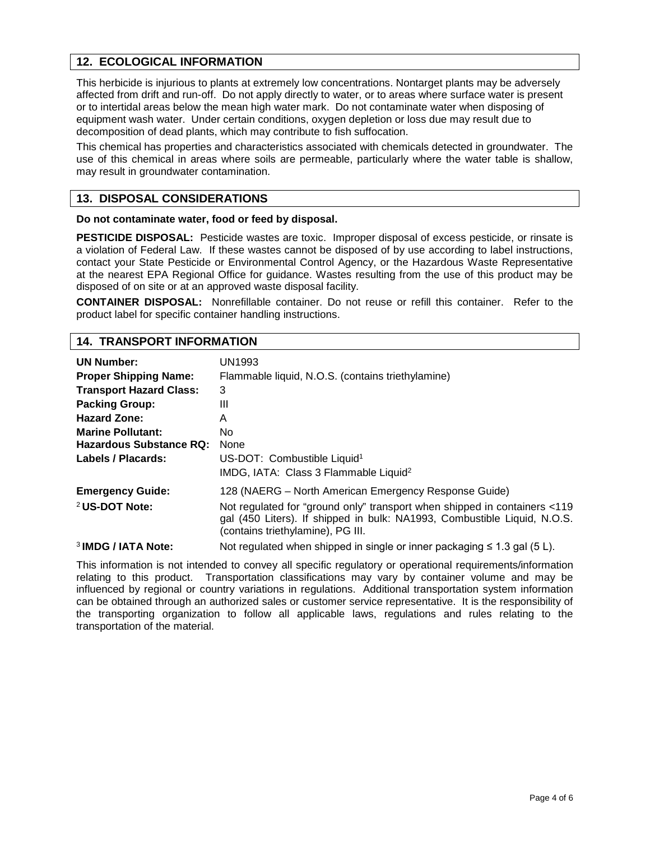# **12. ECOLOGICAL INFORMATION**

This herbicide is injurious to plants at extremely low concentrations. Nontarget plants may be adversely affected from drift and run-off. Do not apply directly to water, or to areas where surface water is present or to intertidal areas below the mean high water mark. Do not contaminate water when disposing of equipment wash water. Under certain conditions, oxygen depletion or loss due may result due to decomposition of dead plants, which may contribute to fish suffocation.

This chemical has properties and characteristics associated with chemicals detected in groundwater. The use of this chemical in areas where soils are permeable, particularly where the water table is shallow, may result in groundwater contamination.

# **13. DISPOSAL CONSIDERATIONS**

**Do not contaminate water, food or feed by disposal.**

**PESTICIDE DISPOSAL:** Pesticide wastes are toxic. Improper disposal of excess pesticide, or rinsate is a violation of Federal Law. If these wastes cannot be disposed of by use according to label instructions, contact your State Pesticide or Environmental Control Agency, or the Hazardous Waste Representative at the nearest EPA Regional Office for guidance. Wastes resulting from the use of this product may be disposed of on site or at an approved waste disposal facility.

**CONTAINER DISPOSAL:** Nonrefillable container. Do not reuse or refill this container. Refer to the product label for specific container handling instructions.

## **14. TRANSPORT INFORMATION**

| <b>UN Number:</b><br><b>Proper Shipping Name:</b><br><b>Transport Hazard Class:</b><br><b>Packing Group:</b><br><b>Hazard Zone:</b><br><b>Marine Pollutant:</b><br>Hazardous Substance RQ:<br>Labels / Placards: | UN1993<br>Flammable liquid, N.O.S. (contains triethylamine)<br>3<br>Ш<br>A<br>No.<br>None<br>US-DOT: Combustible Liquid <sup>1</sup><br>IMDG, IATA: Class 3 Flammable Liquid <sup>2</sup>  |
|------------------------------------------------------------------------------------------------------------------------------------------------------------------------------------------------------------------|--------------------------------------------------------------------------------------------------------------------------------------------------------------------------------------------|
| <b>Emergency Guide:</b>                                                                                                                                                                                          | 128 (NAERG – North American Emergency Response Guide)                                                                                                                                      |
| <sup>2</sup> US-DOT Note:                                                                                                                                                                                        | Not regulated for "ground only" transport when shipped in containers <119<br>gal (450 Liters). If shipped in bulk: NA1993, Combustible Liquid, N.O.S.<br>(contains triethylamine), PG III. |
| <sup>3</sup> IMDG / IATA Note:                                                                                                                                                                                   | Not regulated when shipped in single or inner packaging $\leq 1.3$ gal (5 L).                                                                                                              |

This information is not intended to convey all specific regulatory or operational requirements/information relating to this product. Transportation classifications may vary by container volume and may be influenced by regional or country variations in regulations. Additional transportation system information can be obtained through an authorized sales or customer service representative. It is the responsibility of the transporting organization to follow all applicable laws, regulations and rules relating to the transportation of the material.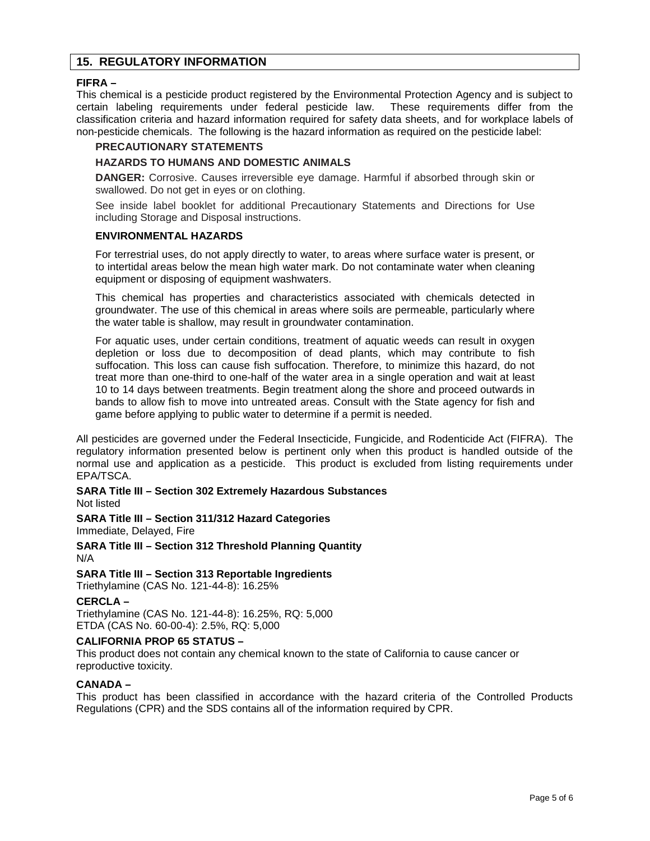# **15. REGULATORY INFORMATION**

#### **FIFRA –**

This chemical is a pesticide product registered by the Environmental Protection Agency and is subject to certain labeling requirements under federal pesticide law. These requirements differ from the certain labeling requirements under federal pesticide law. classification criteria and hazard information required for safety data sheets, and for workplace labels of non-pesticide chemicals. The following is the hazard information as required on the pesticide label:

## **PRECAUTIONARY STATEMENTS**

#### **HAZARDS TO HUMANS AND DOMESTIC ANIMALS**

**DANGER:** Corrosive. Causes irreversible eye damage. Harmful if absorbed through skin or swallowed. Do not get in eyes or on clothing.

See inside label booklet for additional Precautionary Statements and Directions for Use including Storage and Disposal instructions.

#### **ENVIRONMENTAL HAZARDS**

For terrestrial uses, do not apply directly to water, to areas where surface water is present, or to intertidal areas below the mean high water mark. Do not contaminate water when cleaning equipment or disposing of equipment washwaters.

This chemical has properties and characteristics associated with chemicals detected in groundwater. The use of this chemical in areas where soils are permeable, particularly where the water table is shallow, may result in groundwater contamination.

For aquatic uses, under certain conditions, treatment of aquatic weeds can result in oxygen depletion or loss due to decomposition of dead plants, which may contribute to fish suffocation. This loss can cause fish suffocation. Therefore, to minimize this hazard, do not treat more than one-third to one-half of the water area in a single operation and wait at least 10 to 14 days between treatments. Begin treatment along the shore and proceed outwards in bands to allow fish to move into untreated areas. Consult with the State agency for fish and game before applying to public water to determine if a permit is needed.

All pesticides are governed under the Federal Insecticide, Fungicide, and Rodenticide Act (FIFRA). The regulatory information presented below is pertinent only when this product is handled outside of the normal use and application as a pesticide. This product is excluded from listing requirements under EPA/TSCA.

**SARA Title III – Section 302 Extremely Hazardous Substances** Not listed

**SARA Title III – Section 311/312 Hazard Categories** Immediate, Delayed, Fire

**SARA Title III – Section 312 Threshold Planning Quantity** N/A

**SARA Title III – Section 313 Reportable Ingredients**

Triethylamine (CAS No. 121-44-8): 16.25%

#### **CERCLA –**

Triethylamine (CAS No. 121-44-8): 16.25%, RQ: 5,000 ETDA (CAS No. 60-00-4): 2.5%, RQ: 5,000

#### **CALIFORNIA PROP 65 STATUS –**

This product does not contain any chemical known to the state of California to cause cancer or reproductive toxicity.

#### **CANADA –**

This product has been classified in accordance with the hazard criteria of the Controlled Products Regulations (CPR) and the SDS contains all of the information required by CPR.